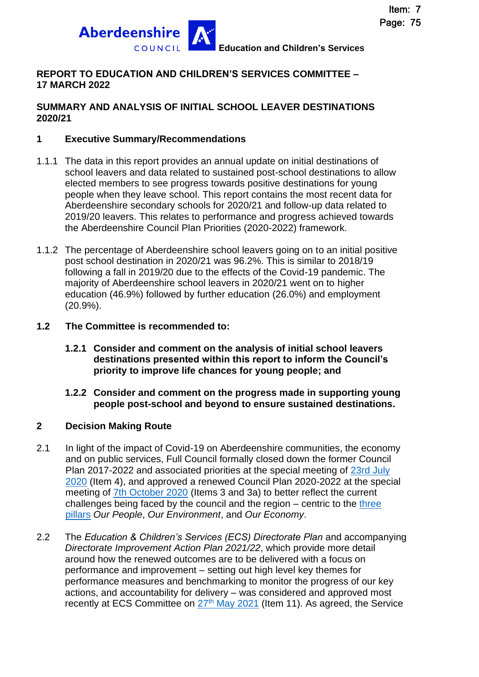

# **REPORT TO EDUCATION AND CHILDREN'S SERVICES COMMITTEE – 17 MARCH 2022**

### **SUMMARY AND ANALYSIS OF INITIAL SCHOOL LEAVER DESTINATIONS 2020/21**

## **1 Executive Summary/Recommendations**

- 1.1.1 The data in this report provides an annual update on initial destinations of school leavers and data related to sustained post-school destinations to allow elected members to see progress towards positive destinations for young people when they leave school. This report contains the most recent data for Aberdeenshire secondary schools for 2020/21 and follow-up data related to 2019/20 leavers. This relates to performance and progress achieved towards the Aberdeenshire Council Plan Priorities (2020-2022) framework.
- 1.1.2 The percentage of Aberdeenshire school leavers going on to an initial positive post school destination in 2020/21 was 96.2%. This is similar to 2018/19 following a fall in 2019/20 due to the effects of the Covid-19 pandemic. The majority of Aberdeenshire school leavers in 2020/21 went on to higher education (46.9%) followed by further education (26.0%) and employment (20.9%).

#### **1.2 The Committee is recommended to:**

- **1.2.1 Consider and comment on the analysis of initial school leavers destinations presented within this report to inform the Council's priority to improve life chances for young people; and**
- **1.2.2 Consider and comment on the progress made in supporting young people post-school and beyond to ensure sustained destinations.**

#### **2 Decision Making Route**

- 2.1 In light of the impact of Covid-19 on Aberdeenshire communities, the economy and on public services, Full Council formally closed down the former Council Plan 2017-2022 and associated priorities at the special meeting of [23rd July](https://committees.aberdeenshire.gov.uk/committees.aspx?commid=1&meetid=19749)  [2020](https://committees.aberdeenshire.gov.uk/committees.aspx?commid=1&meetid=19749) (Item 4), and approved a renewed Council Plan 2020-2022 at the special meeting of [7th October 2020](https://committees.aberdeenshire.gov.uk/committees.aspx?commid=1&meetid=19805) (Items 3 and 3a) to better reflect the current challenges being faced by the council and the region  $-$  centric to the three [pillars](https://www.aberdeenshire.gov.uk/council-and-democracy/council-plan/strategic-priorities/) *Our People*, *Our Environment*, and *Our Economy*.
- 2.2 The *Education & Children's Services (ECS) Directorate Plan* and accompanying *Directorate Improvement Action Plan 2021/22*, which provide more detail around how the renewed outcomes are to be delivered with a focus on performance and improvement – setting out high level key themes for performance measures and benchmarking to monitor the progress of our key actions, and accountability for delivery – was considered and approved most recently at ECS Committee on 27<sup>th</sup> [May 2021](https://committees.aberdeenshire.gov.uk/Committees.aspx?commid=494&meetid=19866) (Item 11). As agreed, the Service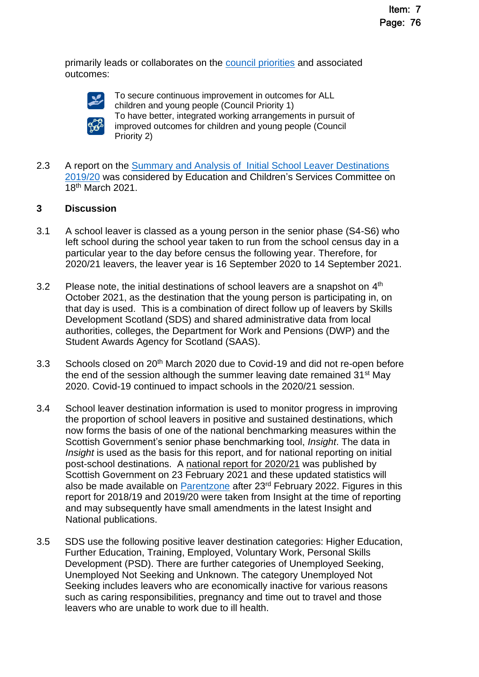primarily leads or collaborates on the [council priorities](https://www.aberdeenshire.gov.uk/council-and-democracy/council-plan/delivering-our-priorities-across-services/) and associated outcomes:



To secure continuous improvement in outcomes for ALL children and young people (Council Priority 1) To have better, integrated working arrangements in pursuit of improved outcomes for children and young people (Council Priority 2)

2.3 A report on the Summary and Analysis of Initial School Leaver Destinations [2019/20](https://committees.aberdeenshire.gov.uk/Committees.aspx?commid=494&meetid=19550) was considered by Education and Children's Services Committee on 18th March 2021.

## **3 Discussion**

- 3.1 A school leaver is classed as a young person in the senior phase (S4-S6) who left school during the school year taken to run from the school census day in a particular year to the day before census the following year. Therefore, for 2020/21 leavers, the leaver year is 16 September 2020 to 14 September 2021.
- 3.2 Please note, the initial destinations of school leavers are a snapshot on  $4<sup>th</sup>$ October 2021, as the destination that the young person is participating in, on that day is used. This is a combination of direct follow up of leavers by Skills Development Scotland (SDS) and shared administrative data from local authorities, colleges, the Department for Work and Pensions (DWP) and the Student Awards Agency for Scotland (SAAS).
- 3.3 Schools closed on 20<sup>th</sup> March 2020 due to Covid-19 and did not re-open before the end of the session although the summer leaving date remained  $31<sup>st</sup>$  May 2020. Covid-19 continued to impact schools in the 2020/21 session.
- 3.4 School leaver destination information is used to monitor progress in improving the proportion of school leavers in positive and sustained destinations, which now forms the basis of one of the national benchmarking measures within the Scottish Government's senior phase benchmarking tool, *Insight*. The data in *Insight* is used as the basis for this report, and for national reporting on initial post-school destinations. A [national report for 2020/21](https://www.gov.scot/publications/summary-statistics-attainment-initial-leaver-destinations-no-4-2022-edition/) was published by Scottish Government on 23 February 2021 and these updated statistics will also be made available on [Parentzone](https://education.gov.scot/parentzone) after 23<sup>rd</sup> February 2022. Figures in this report for 2018/19 and 2019/20 were taken from Insight at the time of reporting and may subsequently have small amendments in the latest Insight and National publications.
- 3.5 SDS use the following positive leaver destination categories: Higher Education, Further Education, Training, Employed, Voluntary Work, Personal Skills Development (PSD). There are further categories of Unemployed Seeking, Unemployed Not Seeking and Unknown. The category Unemployed Not Seeking includes leavers who are economically inactive for various reasons such as caring responsibilities, pregnancy and time out to travel and those leavers who are unable to work due to ill health.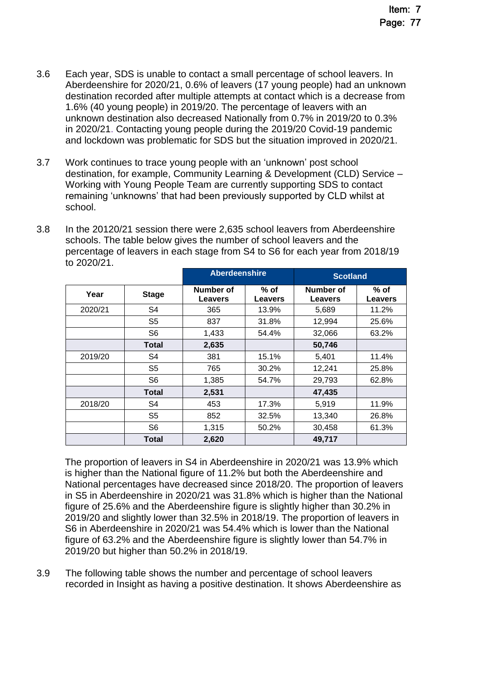- 3.6 Each year, SDS is unable to contact a small percentage of school leavers. In Aberdeenshire for 2020/21, 0.6% of leavers (17 young people) had an unknown destination recorded after multiple attempts at contact which is a decrease from 1.6% (40 young people) in 2019/20. The percentage of leavers with an unknown destination also decreased Nationally from 0.7% in 2019/20 to 0.3% in 2020/21. Contacting young people during the 2019/20 Covid-19 pandemic and lockdown was problematic for SDS but the situation improved in 2020/21.
- 3.7 Work continues to trace young people with an 'unknown' post school destination, for example, Community Learning & Development (CLD) Service – Working with Young People Team are currently supporting SDS to contact remaining 'unknowns' that had been previously supported by CLD whilst at school.
- 3.8 In the 20120/21 session there were 2,635 school leavers from Aberdeenshire schools. The table below gives the number of school leavers and the percentage of leavers in each stage from S4 to S6 for each year from 2018/19 to 2020/21.

|         |                | <b>Aberdeenshire</b>        |                        | <b>Scotland</b>             |                        |
|---------|----------------|-----------------------------|------------------------|-----------------------------|------------------------|
| Year    | <b>Stage</b>   | Number of<br><b>Leavers</b> | % of<br><b>Leavers</b> | Number of<br><b>Leavers</b> | % of<br><b>Leavers</b> |
| 2020/21 | S <sub>4</sub> | 365                         | 13.9%                  | 5,689                       | 11.2%                  |
|         | S <sub>5</sub> | 837                         | 31.8%                  | 12,994                      | 25.6%                  |
|         | S6             | 1,433                       | 54.4%                  | 32,066                      | 63.2%                  |
|         | Total          | 2,635                       |                        | 50,746                      |                        |
| 2019/20 | S4             | 381                         | 15.1%                  | 5,401                       | 11.4%                  |
|         | S <sub>5</sub> | 765                         | 30.2%                  | 12,241                      | 25.8%                  |
|         | S <sub>6</sub> | 1,385                       | 54.7%                  | 29,793                      | 62.8%                  |
|         | Total          | 2,531                       |                        | 47,435                      |                        |
| 2018/20 | S4             | 453                         | 17.3%                  | 5,919                       | 11.9%                  |
|         | S <sub>5</sub> | 852                         | 32.5%                  | 13,340                      | 26.8%                  |
|         | S <sub>6</sub> | 1,315                       | 50.2%                  | 30,458                      | 61.3%                  |
|         | Total          | 2,620                       |                        | 49,717                      |                        |

The proportion of leavers in S4 in Aberdeenshire in 2020/21 was 13.9% which is higher than the National figure of 11.2% but both the Aberdeenshire and National percentages have decreased since 2018/20. The proportion of leavers in S5 in Aberdeenshire in 2020/21 was 31.8% which is higher than the National figure of 25.6% and the Aberdeenshire figure is slightly higher than 30.2% in 2019/20 and slightly lower than 32.5% in 2018/19. The proportion of leavers in S6 in Aberdeenshire in 2020/21 was 54.4% which is lower than the National figure of 63.2% and the Aberdeenshire figure is slightly lower than 54.7% in 2019/20 but higher than 50.2% in 2018/19.

3.9 The following table shows the number and percentage of school leavers recorded in Insight as having a positive destination. It shows Aberdeenshire as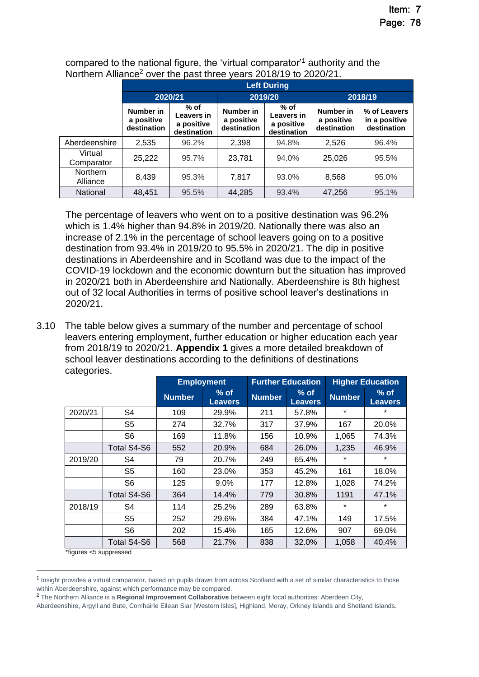|                       |                                        | <b>Left During</b>                                |                                        |                                                   |                                        |                                              |  |  |  |  |  |
|-----------------------|----------------------------------------|---------------------------------------------------|----------------------------------------|---------------------------------------------------|----------------------------------------|----------------------------------------------|--|--|--|--|--|
|                       | 2020/21                                |                                                   |                                        | 2019/20                                           | 2018/19                                |                                              |  |  |  |  |  |
|                       | Number in<br>a positive<br>destination | $%$ of<br>Leavers in<br>a positive<br>destination | Number in<br>a positive<br>destination | $%$ of<br>Leavers in<br>a positive<br>destination | Number in<br>a positive<br>destination | % of Leavers<br>in a positive<br>destination |  |  |  |  |  |
| Aberdeenshire         | 2,535                                  | 96.2%                                             | 2.398                                  | 94.8%                                             | 2,526                                  | 96.4%                                        |  |  |  |  |  |
| Virtual<br>Comparator | 25,222                                 | 95.7%                                             | 23,781                                 | 94.0%                                             | 25,026                                 | 95.5%                                        |  |  |  |  |  |
| Northern<br>Alliance  | 8.439                                  | 95.3%                                             | 7,817                                  | 93.0%                                             | 8,568                                  | 95.0%                                        |  |  |  |  |  |
| National              | 48,451                                 | 95.5%                                             | 44,285                                 | 93.4%                                             | 47,256                                 | 95.1%                                        |  |  |  |  |  |

compared to the national figure, the 'virtual comparator'<sup>1</sup> authority and the Northern Alliance<sup>2</sup> over the past three years 2018/19 to 2020/21.

The percentage of leavers who went on to a positive destination was 96.2% which is 1.4% higher than 94.8% in 2019/20. Nationally there was also an increase of 2.1% in the percentage of school leavers going on to a positive destination from 93.4% in 2019/20 to 95.5% in 2020/21. The dip in positive destinations in Aberdeenshire and in Scotland was due to the impact of the COVID-19 lockdown and the economic downturn but the situation has improved in 2020/21 both in Aberdeenshire and Nationally. Aberdeenshire is 8th highest out of 32 local Authorities in terms of positive school leaver's destinations in 2020/21.

3.10 The table below gives a summary of the number and percentage of school leavers entering employment, further education or higher education each year from 2018/19 to 2020/21. **Appendix 1** gives a more detailed breakdown of school leaver destinations according to the definitions of destinations categories.

|                             |                |               | <b>Employment</b>        |               | <b>Further Education</b> |               | <b>Higher Education</b>  |
|-----------------------------|----------------|---------------|--------------------------|---------------|--------------------------|---------------|--------------------------|
|                             |                | <b>Number</b> | $%$ of<br><b>Leavers</b> | <b>Number</b> | $%$ of<br><b>Leavers</b> | <b>Number</b> | $%$ of<br><b>Leavers</b> |
| 2020/21                     | S4             | 109           | 29.9%                    | 211           | 57.8%                    | *             | $\star$                  |
|                             | S <sub>5</sub> | 274           | 32.7%                    | 317           | 37.9%                    | 167           | 20.0%                    |
|                             | S6             | 169           | 11.8%                    | 156           | 10.9%                    | 1,065         | 74.3%                    |
|                             | Total S4-S6    | 552           | 20.9%                    | 684           | 26.0%                    | 1,235         | 46.9%                    |
| 2019/20                     | S4             | 79            | 20.7%                    | 249           | 65.4%                    | *             | $\star$                  |
|                             | S5             | 160           | 23.0%                    | 353           | 45.2%                    | 161           | 18.0%                    |
|                             | S <sub>6</sub> | 125           | 9.0%                     | 177           | 12.8%                    | 1,028         | 74.2%                    |
|                             | Total S4-S6    | 364           | 14.4%                    | 779           | 30.8%                    | 1191          | 47.1%                    |
| 2018/19                     | S4             | 114           | 25.2%                    | 289           | 63.8%                    | *             | $\star$                  |
|                             | S <sub>5</sub> | 252           | 29.6%                    | 384           | 47.1%                    | 149           | 17.5%                    |
|                             | S <sub>6</sub> | 202           | 15.4%                    | 165           | 12.6%                    | 907           | 69.0%                    |
| dealers and the contract of | Total S4-S6    | 568           | 21.7%                    | 838           | 32.0%                    | 1,058         | 40.4%                    |

\*figures <5 suppressed

<sup>&</sup>lt;sup>1</sup> Insight provides a virtual comparator, based on pupils drawn from across Scotland with a set of similar characteristics to those within Aberdeenshire, against which performance may be compared.

<sup>2</sup> The Northern Alliance is a **Regional Improvement Collaborative** between eight local authorities: Aberdeen City,

Aberdeenshire, Argyll and Bute, Comhairle Eilean Siar [Western Isles], Highland, Moray, Orkney Islands and Shetland Islands.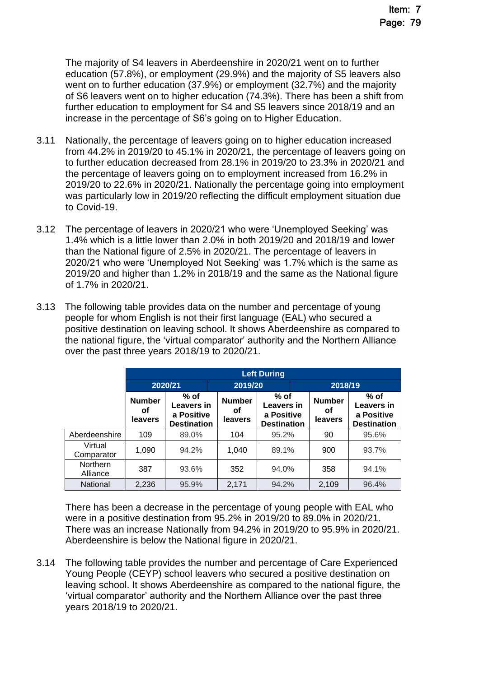The majority of S4 leavers in Aberdeenshire in 2020/21 went on to further education (57.8%), or employment (29.9%) and the majority of S5 leavers also went on to further education (37.9%) or employment (32.7%) and the majority of S6 leavers went on to higher education (74.3%). There has been a shift from further education to employment for S4 and S5 leavers since 2018/19 and an increase in the percentage of S6's going on to Higher Education.

- 3.11 Nationally, the percentage of leavers going on to higher education increased from 44.2% in 2019/20 to 45.1% in 2020/21, the percentage of leavers going on to further education decreased from 28.1% in 2019/20 to 23.3% in 2020/21 and the percentage of leavers going on to employment increased from 16.2% in 2019/20 to 22.6% in 2020/21. Nationally the percentage going into employment was particularly low in 2019/20 reflecting the difficult employment situation due to Covid-19.
- 3.12 The percentage of leavers in 2020/21 who were 'Unemployed Seeking' was 1.4% which is a little lower than 2.0% in both 2019/20 and 2018/19 and lower than the National figure of 2.5% in 2020/21. The percentage of leavers in 2020/21 who were 'Unemployed Not Seeking' was 1.7% which is the same as 2019/20 and higher than 1.2% in 2018/19 and the same as the National figure of 1.7% in 2020/21.
- 3.13 The following table provides data on the number and percentage of young people for whom English is not their first language (EAL) who secured a positive destination on leaving school. It shows Aberdeenshire as compared to the national figure, the 'virtual comparator' authority and the Northern Alliance over the past three years 2018/19 to 2020/21.

|                             |                                | <b>Left During</b>                                       |                                        |       |                                                |       |                                                                 |  |  |  |  |
|-----------------------------|--------------------------------|----------------------------------------------------------|----------------------------------------|-------|------------------------------------------------|-------|-----------------------------------------------------------------|--|--|--|--|
|                             |                                | 2020/21                                                  | 2019/20                                |       | 2018/19                                        |       |                                                                 |  |  |  |  |
|                             | <b>Number</b><br>οf<br>leavers | $%$ of<br>Leavers in<br>a Positive<br><b>Destination</b> | % of<br><b>Number</b><br>οf<br>leavers |       | Leavers in<br>a Positive<br><b>Destination</b> |       | $%$ of<br><b>Leavers in</b><br>a Positive<br><b>Destination</b> |  |  |  |  |
| Aberdeenshire               | 109                            | 89.0%                                                    | 104                                    | 95.2% |                                                | 90    | 95.6%                                                           |  |  |  |  |
| Virtual<br>Comparator       | 1,090                          | 94.2%                                                    | 1,040                                  | 89.1% |                                                | 900   | 93.7%                                                           |  |  |  |  |
| <b>Northern</b><br>Alliance | 387                            | 93.6%                                                    | 352                                    | 94.0% |                                                | 358   | 94.1%                                                           |  |  |  |  |
| National                    | 2,236                          | 95.9%                                                    | 2,171                                  | 94.2% |                                                | 2,109 | 96.4%                                                           |  |  |  |  |

There has been a decrease in the percentage of young people with EAL who were in a positive destination from 95.2% in 2019/20 to 89.0% in 2020/21. There was an increase Nationally from 94.2% in 2019/20 to 95.9% in 2020/21. Aberdeenshire is below the National figure in 2020/21.

3.14 The following table provides the number and percentage of Care Experienced Young People (CEYP) school leavers who secured a positive destination on leaving school. It shows Aberdeenshire as compared to the national figure, the 'virtual comparator' authority and the Northern Alliance over the past three years 2018/19 to 2020/21.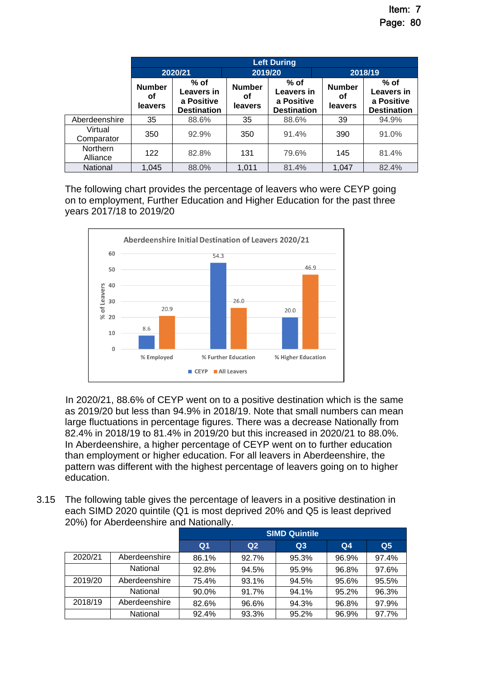|                             |                                | <b>Left During</b>                                       |                                |                                                          |                                |                                                          |  |  |  |  |
|-----------------------------|--------------------------------|----------------------------------------------------------|--------------------------------|----------------------------------------------------------|--------------------------------|----------------------------------------------------------|--|--|--|--|
|                             |                                | 2020/21                                                  | 2019/20                        |                                                          | 2018/19                        |                                                          |  |  |  |  |
|                             | <b>Number</b><br>οf<br>leavers | $%$ of<br>Leavers in<br>a Positive<br><b>Destination</b> | <b>Number</b><br>οf<br>leavers | $%$ of<br>Leavers in<br>a Positive<br><b>Destination</b> | <b>Number</b><br>οf<br>leavers | $%$ of<br>Leavers in<br>a Positive<br><b>Destination</b> |  |  |  |  |
| Aberdeenshire               | 35                             | 88.6%                                                    | 35                             | 88.6%                                                    | 39                             | 94.9%                                                    |  |  |  |  |
| Virtual<br>Comparator       | 350                            | 92.9%                                                    | 350                            | 91.4%                                                    | 390                            | 91.0%                                                    |  |  |  |  |
| <b>Northern</b><br>Alliance | 122                            | 82.8%                                                    | 131                            | 79.6%                                                    | 145                            | 81.4%                                                    |  |  |  |  |
| National                    | 1,045                          | 88.0%                                                    | 1,011                          | 81.4%                                                    | 1,047                          | 82.4%                                                    |  |  |  |  |

The following chart provides the percentage of leavers who were CEYP going on to employment, Further Education and Higher Education for the past three years 2017/18 to 2019/20



In 2020/21, 88.6% of CEYP went on to a positive destination which is the same as 2019/20 but less than 94.9% in 2018/19. Note that small numbers can mean large fluctuations in percentage figures. There was a decrease Nationally from 82.4% in 2018/19 to 81.4% in 2019/20 but this increased in 2020/21 to 88.0%. In Aberdeenshire, a higher percentage of CEYP went on to further education than employment or higher education. For all leavers in Aberdeenshire, the pattern was different with the highest percentage of leavers going on to higher education.

3.15 The following table gives the percentage of leavers in a positive destination in each SIMD 2020 quintile (Q1 is most deprived 20% and Q5 is least deprived 20%) for Aberdeenshire and Nationally.

|         |               | <b>SIMD Quintile</b> |                |       |                |                |  |  |  |
|---------|---------------|----------------------|----------------|-------|----------------|----------------|--|--|--|
|         |               | Q <sub>1</sub>       | Q <sub>2</sub> | Q3    | Q <sub>4</sub> | Q <sub>5</sub> |  |  |  |
| 2020/21 | Aberdeenshire | 86.1%                | 92.7%          | 95.3% | 96.9%          | 97.4%          |  |  |  |
|         | National      | 92.8%                | 94.5%          | 95.9% | 96.8%          | 97.6%          |  |  |  |
| 2019/20 | Aberdeenshire | 75.4%                | 93.1%          | 94.5% | 95.6%          | 95.5%          |  |  |  |
|         | National      | 90.0%                | 91.7%          | 94.1% | 95.2%          | 96.3%          |  |  |  |
| 2018/19 | Aberdeenshire | 82.6%                | 96.6%          | 94.3% | 96.8%          | 97.9%          |  |  |  |
|         | National      | 92.4%                | 93.3%          | 95.2% | 96.9%          | 97.7%          |  |  |  |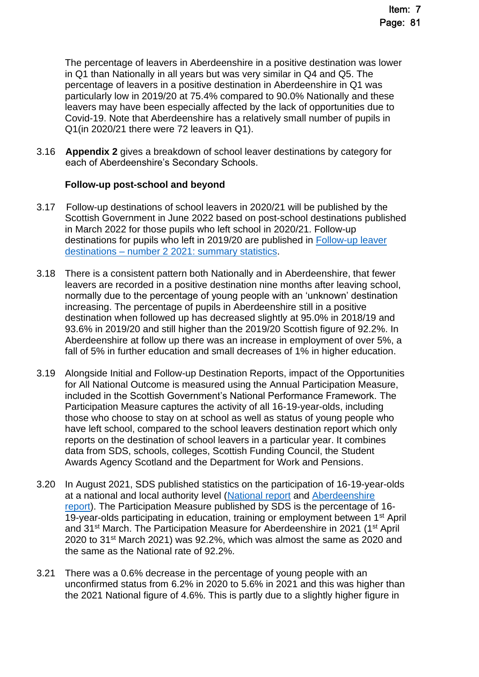The percentage of leavers in Aberdeenshire in a positive destination was lower in Q1 than Nationally in all years but was very similar in Q4 and Q5. The percentage of leavers in a positive destination in Aberdeenshire in Q1 was particularly low in 2019/20 at 75.4% compared to 90.0% Nationally and these leavers may have been especially affected by the lack of opportunities due to Covid-19. Note that Aberdeenshire has a relatively small number of pupils in Q1(in 2020/21 there were 72 leavers in Q1).

3.16 **Appendix 2** gives a breakdown of school leaver destinations by category for each of Aberdeenshire's Secondary Schools.

# **Follow-up post-school and beyond**

- 3.17 Follow-up destinations of school leavers in 2020/21 will be published by the Scottish Government in June 2022 based on post-school destinations published in March 2022 for those pupils who left school in 2020/21. Follow-up destinations for pupils who left in 2019/20 are published in Follow-up leaver destinations – [number 2 2021: summary statistics.](https://www.gov.scot/publications/summary-statistics-follow-up-leaver-destinations-no-3-2021-edition/)
- 3.18 There is a consistent pattern both Nationally and in Aberdeenshire, that fewer leavers are recorded in a positive destination nine months after leaving school, normally due to the percentage of young people with an 'unknown' destination increasing. The percentage of pupils in Aberdeenshire still in a positive destination when followed up has decreased slightly at 95.0% in 2018/19 and 93.6% in 2019/20 and still higher than the 2019/20 Scottish figure of 92.2%. In Aberdeenshire at follow up there was an increase in employment of over 5%, a fall of 5% in further education and small decreases of 1% in higher education.
- 3.19 Alongside Initial and Follow-up Destination Reports, impact of the Opportunities for All National Outcome is measured using the Annual Participation Measure, included in the Scottish Government's National Performance Framework. The Participation Measure captures the activity of all 16-19-year-olds, including those who choose to stay on at school as well as status of young people who have left school, compared to the school leavers destination report which only reports on the destination of school leavers in a particular year. It combines data from SDS, schools, colleges, Scottish Funding Council, the Student Awards Agency Scotland and the Department for Work and Pensions.
- 3.20 In August 2021, SDS published statistics on the participation of 16-19-year-olds at a national and local authority level [\(National report](https://www.skillsdevelopmentscotland.co.uk/media/48147/annual-participation-measure-2021-report.pdf) and [Aberdeenshire](https://www.skillsdevelopmentscotland.co.uk/publications-statistics/statistics/annual-participation-measure/?page=1&statisticCategoryId=7&order=date-desc)  [report\)](https://www.skillsdevelopmentscotland.co.uk/publications-statistics/statistics/annual-participation-measure/?page=1&statisticCategoryId=7&order=date-desc). The Participation Measure published by SDS is the percentage of 16- 19-year-olds participating in education, training or employment between 1<sup>st</sup> April and 31st March. The Participation Measure for Aberdeenshire in 2021 (1st April 2020 to 31st March 2021) was 92.2%, which was almost the same as 2020 and the same as the National rate of 92.2%.
- 3.21 There was a 0.6% decrease in the percentage of young people with an unconfirmed status from 6.2% in 2020 to 5.6% in 2021 and this was higher than the 2021 National figure of 4.6%. This is partly due to a slightly higher figure in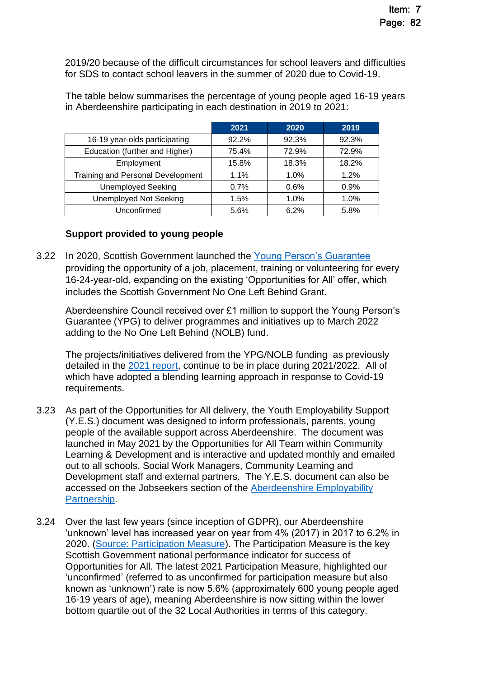2019/20 because of the difficult circumstances for school leavers and difficulties for SDS to contact school leavers in the summer of 2020 due to Covid-19.

The table below summarises the percentage of young people aged 16-19 years in Aberdeenshire participating in each destination in 2019 to 2021:

|                                          | 2021    | 2020  | 2019  |
|------------------------------------------|---------|-------|-------|
| 16-19 year-olds participating            | 92.2%   | 92.3% | 92.3% |
| Education (further and Higher)           | 75.4%   | 72.9% | 72.9% |
| Employment                               | 15.8%   | 18.3% | 18.2% |
| <b>Training and Personal Development</b> | $1.1\%$ | 1.0%  | 1.2%  |
| <b>Unemployed Seeking</b>                | 0.7%    | 0.6%  | 0.9%  |
| <b>Unemployed Not Seeking</b>            | 1.5%    | 1.0%  | 1.0%  |
| Unconfirmed                              | 5.6%    | 6.2%  | 5.8%  |

# **Support provided to young people**

3.22 In 2020, Scottish Government launched the [Young Person's Guarantee](https://youngpersonsguarantee.scot/) providing the opportunity of a job, placement, training or volunteering for every 16-24-year-old, expanding on the existing 'Opportunities for All' offer, which includes the Scottish Government No One Left Behind Grant.

Aberdeenshire Council received over £1 million to support the Young Person's Guarantee (YPG) to deliver programmes and initiatives up to March 2022 adding to the No One Left Behind (NOLB) fund.

The projects/initiatives delivered from the YPG/NOLB funding as previously detailed in the [2021 report,](https://committees.aberdeenshire.gov.uk/Committees.aspx?commid=494&meetid=19550) continue to be in place during 2021/2022. All of which have adopted a blending learning approach in response to Covid-19 requirements.

- 3.23 As part of the Opportunities for All delivery, the Youth Employability Support (Y.E.S.) document was designed to inform professionals, parents, young people of the available support across Aberdeenshire. The document was launched in May 2021 by the Opportunities for All Team within Community Learning & Development and is interactive and updated monthly and emailed out to all schools, Social Work Managers, Community Learning and Development staff and external partners. The Y.E.S. document can also be accessed on the Jobseekers section of the [Aberdeenshire Employability](https://employmentconnect.org.uk/)  [Partnership.](https://employmentconnect.org.uk/)
- 3.24 Over the last few years (since inception of GDPR), our Aberdeenshire 'unknown' level has increased year on year from 4% (2017) in 2017 to 6.2% in 2020. [\(Source: Participation Measure\)](https://www.skillsdevelopmentscotland.co.uk/media/48147/annual-participation-measure-2021-report.pdf). The Participation Measure is the key Scottish Government national performance indicator for success of Opportunities for All. The latest 2021 Participation Measure, highlighted our 'unconfirmed' (referred to as unconfirmed for participation measure but also known as 'unknown') rate is now 5.6% (approximately 600 young people aged 16-19 years of age), meaning Aberdeenshire is now sitting within the lower bottom quartile out of the 32 Local Authorities in terms of this category.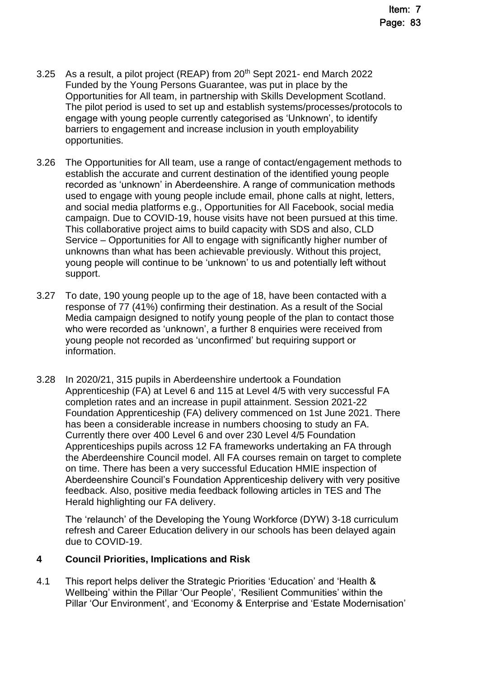- 3.25 As a result, a pilot project (REAP) from 20<sup>th</sup> Sept 2021- end March 2022 Funded by the Young Persons Guarantee, was put in place by the Opportunities for All team, in partnership with Skills Development Scotland. The pilot period is used to set up and establish systems/processes/protocols to engage with young people currently categorised as 'Unknown', to identify barriers to engagement and increase inclusion in youth employability opportunities.
- 3.26 The Opportunities for All team, use a range of contact/engagement methods to establish the accurate and current destination of the identified young people recorded as 'unknown' in Aberdeenshire. A range of communication methods used to engage with young people include email, phone calls at night, letters, and social media platforms e.g., Opportunities for All Facebook, social media campaign. Due to COVID-19, house visits have not been pursued at this time. This collaborative project aims to build capacity with SDS and also, CLD Service – Opportunities for All to engage with significantly higher number of unknowns than what has been achievable previously. Without this project, young people will continue to be 'unknown' to us and potentially left without support.
- 3.27 To date, 190 young people up to the age of 18, have been contacted with a response of 77 (41%) confirming their destination. As a result of the Social Media campaign designed to notify young people of the plan to contact those who were recorded as 'unknown', a further 8 enquiries were received from young people not recorded as 'unconfirmed' but requiring support or information.
- 3.28 In 2020/21, 315 pupils in Aberdeenshire undertook a Foundation Apprenticeship (FA) at Level 6 and 115 at Level 4/5 with very successful FA completion rates and an increase in pupil attainment. Session 2021-22 Foundation Apprenticeship (FA) delivery commenced on 1st June 2021. There has been a considerable increase in numbers choosing to study an FA. Currently there over 400 Level 6 and over 230 Level 4/5 Foundation Apprenticeships pupils across 12 FA frameworks undertaking an FA through the Aberdeenshire Council model. All FA courses remain on target to complete on time. There has been a very successful Education HMIE inspection of Aberdeenshire Council's Foundation Apprenticeship delivery with very positive feedback. Also, positive media feedback following articles in TES and The Herald highlighting our FA delivery.

The 'relaunch' of the Developing the Young Workforce (DYW) 3-18 curriculum refresh and Career Education delivery in our schools has been delayed again due to COVID-19.

# **4 Council Priorities, Implications and Risk**

4.1 This report helps deliver the Strategic Priorities 'Education' and 'Health & Wellbeing' within the Pillar 'Our People', 'Resilient Communities' within the Pillar 'Our Environment', and 'Economy & Enterprise and 'Estate Modernisation'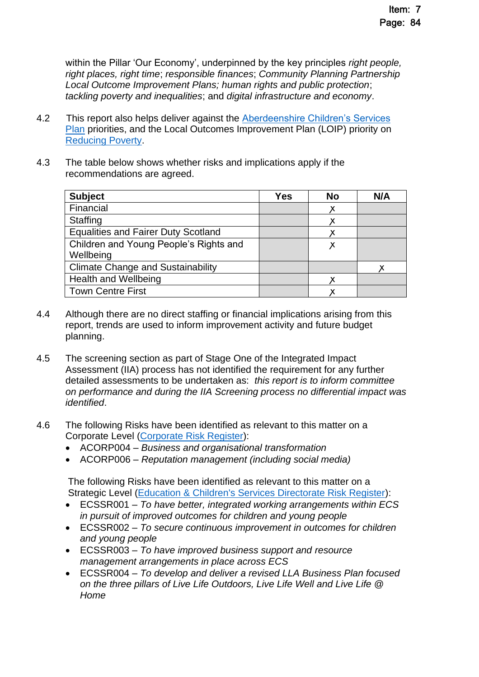within the Pillar 'Our Economy', underpinned by the key principles *right people, right places, right time*; *responsible finances*; *Community Planning Partnership Local Outcome Improvement Plans; human rights and public protection*; *tackling poverty and inequalities*; and *digital infrastructure and economy*.

- 4.2 This report also helps deliver against the Aberdeenshire Children's Services [Plan](https://www.girfec-aberdeenshire.org/who-we-are/our-childrens-services-plan/) priorities, and the Local Outcomes Improvement Plan (LOIP) priority on [Reducing Poverty.](https://www.ouraberdeenshire.org.uk/our-priorities/reducing-child-poverty/)
- 4.3 The table below shows whether risks and implications apply if the recommendations are agreed.

| <b>Subject</b>                             | <b>Yes</b> | <b>No</b> | N/A |
|--------------------------------------------|------------|-----------|-----|
| Financial                                  |            | х         |     |
| Staffing                                   |            |           |     |
| <b>Equalities and Fairer Duty Scotland</b> |            |           |     |
| Children and Young People's Rights and     |            | Х         |     |
| Wellbeing                                  |            |           |     |
| <b>Climate Change and Sustainability</b>   |            |           |     |
| <b>Health and Wellbeing</b>                |            |           |     |
| <b>Town Centre First</b>                   |            |           |     |

- 4.4 Although there are no direct staffing or financial implications arising from this report, trends are used to inform improvement activity and future budget planning.
- 4.5 The screening section as part of Stage One of the Integrated Impact Assessment (IIA) process has not identified the requirement for any further detailed assessments to be undertaken as: *this report is to inform committee on performance and during the IIA Screening process no differential impact was identified*.
- 4.6 The following Risks have been identified as relevant to this matter on a Corporate Level [\(Corporate Risk Register\)](https://www.aberdeenshire.gov.uk/council-and-democracy/about-us/plans-and-reports/):
	- ACORP004 *Business and organisational transformation*
	- ACORP006 *Reputation management (including social media)*

The following Risks have been identified as relevant to this matter on a Strategic Level [\(Education & Children's Services Directorate Risk Register\)](https://www.aberdeenshire.gov.uk/media/26330/ecsdirectoraterisksregister.pdf):

- ECSSR001 *To have better, integrated working arrangements within ECS in pursuit of improved outcomes for children and young people*
- ECSSR002 *To secure continuous improvement in outcomes for children and young people*
- ECSSR003 *To have improved business support and resource management arrangements in place across ECS*
- ECSSR004 *To develop and deliver a revised LLA Business Plan focused on the three pillars of Live Life Outdoors, Live Life Well and Live Life @ Home*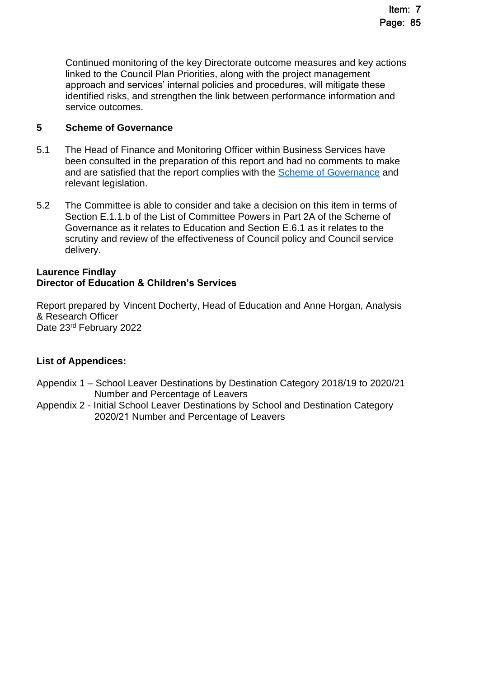Continued monitoring of the key Directorate outcome measures and key actions linked to the Council Plan Priorities, along with the project management approach and services' internal policies and procedures, will mitigate these identified risks, and strengthen the link between performance information and service outcomes.

## **5 Scheme of Governance**

- 5.1 The Head of Finance and Monitoring Officer within Business Services have been consulted in the preparation of this report and had no comments to make and are satisfied that the report complies with the **Scheme of Governance** and relevant legislation.
- 5.2 The Committee is able to consider and take a decision on this item in terms of Section E.1.1.b of the List of Committee Powers in Part 2A of the Scheme of Governance as it relates to Education and Section E.6.1 as it relates to the scrutiny and review of the effectiveness of Council policy and Council service delivery.

### **Laurence Findlay Director of Education & Children's Services**

Report prepared by Vincent Docherty, Head of Education and Anne Horgan, Analysis & Research Officer Date 23rd February 2022

# **List of Appendices:**

- Appendix 1 School Leaver Destinations by Destination Category 2018/19 to 2020/21 Number and Percentage of Leavers
- Appendix 2 Initial School Leaver Destinations by School and Destination Category 2020/21 Number and Percentage of Leavers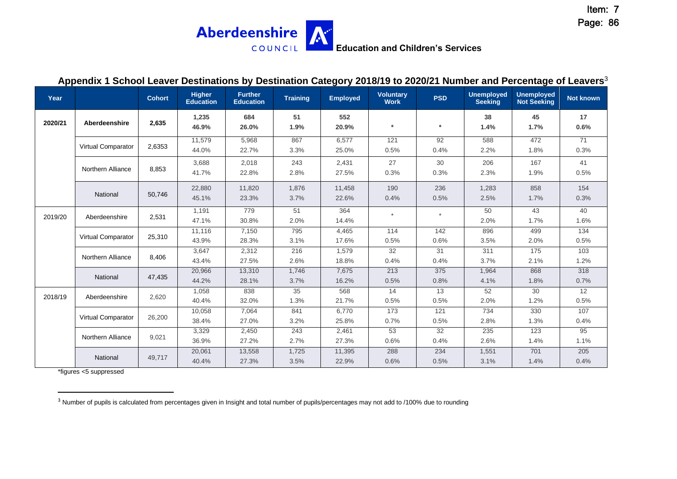**Aberdeenshire** A **Education and Children's Services** COUNCIL |

#### **Appendix 1 School Leaver Destinations by Destination Category 2018/19 to 2020/21 Number and Percentage of Leavers**<sup>3</sup>

| Year    |                           | <b>Cohort</b> | <b>Higher</b><br><b>Education</b> | <b>Further</b><br><b>Education</b> | <b>Training</b> | <b>Employed</b> | <b>Voluntary</b><br><b>Work</b> | <b>PSD</b>  | <b>Unemployed</b><br><b>Seeking</b> | <b>Unemployed</b><br><b>Not Seeking</b> | <b>Not known</b> |
|---------|---------------------------|---------------|-----------------------------------|------------------------------------|-----------------|-----------------|---------------------------------|-------------|-------------------------------------|-----------------------------------------|------------------|
| 2020/21 | Aberdeenshire             | 2,635         | 1,235<br>46.9%                    | 684<br>26.0%                       | 51<br>1.9%      | 552<br>20.9%    | $\star$                         | $\star$     | 38<br>1.4%                          | 45<br>1.7%                              | 17<br>0.6%       |
|         | <b>Virtual Comparator</b> | 2,6353        | 11,579<br>44.0%                   | 5,968<br>22.7%                     | 867<br>3.3%     | 6,577<br>25.0%  | 121<br>0.5%                     | 92<br>0.4%  | 588<br>2.2%                         | 472<br>1.8%                             | 71<br>0.3%       |
|         | Northern Alliance         | 8,853         | 3,688<br>41.7%                    | 2,018<br>22.8%                     | 243<br>2.8%     | 2,431<br>27.5%  | 27<br>0.3%                      | 30<br>0.3%  | 206<br>2.3%                         | 167<br>1.9%                             | 41<br>0.5%       |
|         | National                  | 50,746        | 22,880<br>45.1%                   | 11,820<br>23.3%                    | 1,876<br>3.7%   | 11,458<br>22.6% | 190<br>0.4%                     | 236<br>0.5% | 1,283<br>2.5%                       | 858<br>1.7%                             | 154<br>0.3%      |
| 2019/20 | Aberdeenshire             | 2,531         | 1,191<br>47.1%                    | 779<br>30.8%                       | 51<br>2.0%      | 364<br>14.4%    | $\star$                         |             | 50<br>2.0%                          | 43<br>1.7%                              | 40<br>1.6%       |
|         | <b>Virtual Comparator</b> | 25,310        | 11,116<br>43.9%                   | 7,150<br>28.3%                     | 795<br>3.1%     | 4,465<br>17.6%  | 114<br>0.5%                     | 142<br>0.6% | 896<br>3.5%                         | 499<br>2.0%                             | 134<br>0.5%      |
|         | <b>Northern Alliance</b>  | 8,406         | 3,647<br>43.4%                    | 2,312<br>27.5%                     | 216<br>2.6%     | 1,579<br>18.8%  | 32<br>0.4%                      | 31<br>0.4%  | 311<br>3.7%                         | 175<br>2.1%                             | 103<br>1.2%      |
|         | National                  | 47,435        | 20,966<br>44.2%                   | 13,310<br>28.1%                    | 1,746<br>3.7%   | 7,675<br>16.2%  | 213<br>0.5%                     | 375<br>0.8% | 1,964<br>4.1%                       | 868<br>1.8%                             | 318<br>0.7%      |
| 2018/19 | Aberdeenshire             | 2,620         | 1,058<br>40.4%                    | 838<br>32.0%                       | 35<br>1.3%      | 568<br>21.7%    | 14<br>0.5%                      | 13<br>0.5%  | 52<br>2.0%                          | 30<br>1.2%                              | 12<br>0.5%       |
|         | Virtual Comparator        | 26,200        | 10,058<br>38.4%                   | 7,064<br>27.0%                     | 841<br>3.2%     | 6,770<br>25.8%  | 173<br>0.7%                     | 121<br>0.5% | 734<br>2.8%                         | 330<br>1.3%                             | 107<br>0.4%      |
|         | Northern Alliance         | 9,021         | 3,329<br>36.9%                    | 2,450<br>27.2%                     | 243<br>2.7%     | 2,461<br>27.3%  | 53<br>0.6%                      | 32<br>0.4%  | 235<br>2.6%                         | 123<br>1.4%                             | 95<br>1.1%       |
|         | National                  | 49,717        | 20,061<br>40.4%                   | 13,558<br>27.3%                    | 1,725<br>3.5%   | 11,395<br>22.9% | 288<br>0.6%                     | 234<br>0.5% | 1,551<br>3.1%                       | 701<br>1.4%                             | 205<br>0.4%      |

\*figures <5 suppressed

<sup>3</sup> Number of pupils is calculated from percentages given in Insight and total number of pupils/percentages may not add to /100% due to rounding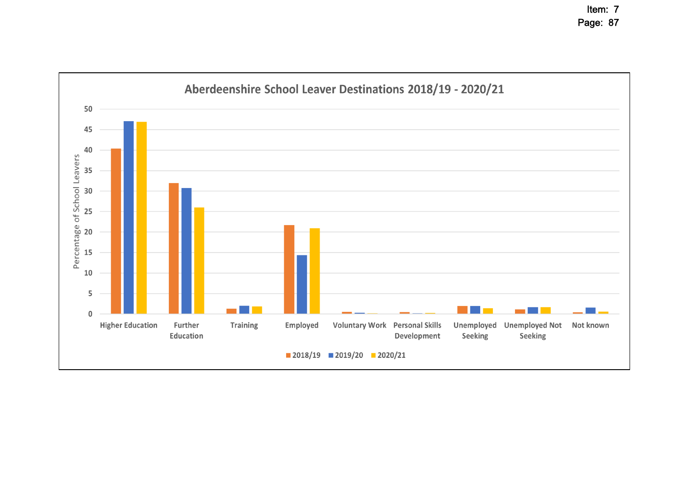Item: 7 Page: 87